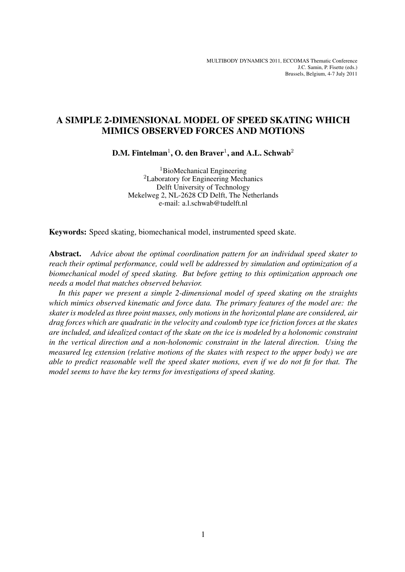# A SIMPLE 2-DIMENSIONAL MODEL OF SPEED SKATING WHICH MIMICS OBSERVED FORCES AND MOTIONS

D.M. Fintelman $^1$ , O. den Braver $^1$ , and A.L. Schwab $^2$ 

<sup>1</sup>BioMechanical Engineering <sup>2</sup>Laboratory for Engineering Mechanics Delft University of Technology Mekelweg 2, NL-2628 CD Delft, The Netherlands e-mail: a.l.schwab@tudelft.nl

Keywords: Speed skating, biomechanical model, instrumented speed skate.

Abstract. *Advice about the optimal coordination pattern for an individual speed skater to reach their optimal performance, could well be addressed by simulation and optimization of a biomechanical model of speed skating. But before getting to this optimization approach one needs a model that matches observed behavior.*

*In this paper we present a simple 2-dimensional model of speed skating on the straights which mimics observed kinematic and force data. The primary features of the model are: the skater is modeled as three point masses, only motions in the horizontal plane are considered, air drag forces which are quadratic in the velocity and coulomb type ice friction forces at the skates are included, and idealized contact of the skate on the ice is modeled by a holonomic constraint in the vertical direction and a non-holonomic constraint in the lateral direction. Using the measured leg extension (relative motions of the skates with respect to the upper body) we are able to predict reasonable well the speed skater motions, even if we do not fit for that. The model seems to have the key terms for investigations of speed skating.*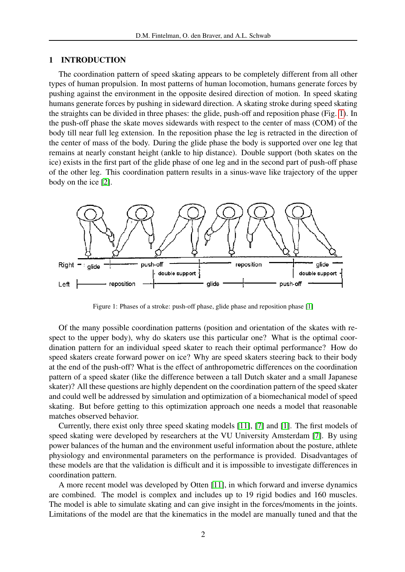#### 1 INTRODUCTION

The coordination pattern of speed skating appears to be completely different from all other types of human propulsion. In most patterns of human locomotion, humans generate forces by pushing against the environment in the opposite desired direction of motion. In speed skating humans generate forces by pushing in sideward direction. A skating stroke during speed skating the straights can be divided in three phases: the glide, push-off and reposition phase (Fig. [1\)](#page-1-0). In the push-off phase the skate moves sidewards with respect to the center of mass (COM) of the body till near full leg extension. In the reposition phase the leg is retracted in the direction of the center of mass of the body. During the glide phase the body is supported over one leg that remains at nearly constant height (ankle to hip distance). Double support (both skates on the ice) exists in the first part of the glide phase of one leg and in the second part of push-off phase of the other leg. This coordination pattern results in a sinus-wave like trajectory of the upper body on the ice [\[2\]](#page-18-0).



<span id="page-1-0"></span>Figure 1: Phases of a stroke: push-off phase, glide phase and reposition phase [\[1\]](#page-18-1)

Of the many possible coordination patterns (position and orientation of the skates with respect to the upper body), why do skaters use this particular one? What is the optimal coordination pattern for an individual speed skater to reach their optimal performance? How do speed skaters create forward power on ice? Why are speed skaters steering back to their body at the end of the push-off? What is the effect of anthropometric differences on the coordination pattern of a speed skater (like the difference between a tall Dutch skater and a small Japanese skater)? All these questions are highly dependent on the coordination pattern of the speed skater and could well be addressed by simulation and optimization of a biomechanical model of speed skating. But before getting to this optimization approach one needs a model that reasonable matches observed behavior.

Currently, there exist only three speed skating models [\[11\]](#page-19-0), [\[7\]](#page-19-1) and [\[1\]](#page-18-1). The first models of speed skating were developed by researchers at the VU University Amsterdam [\[7\]](#page-19-1). By using power balances of the human and the environment useful information about the posture, athlete physiology and environmental parameters on the performance is provided. Disadvantages of these models are that the validation is difficult and it is impossible to investigate differences in coordination pattern.

A more recent model was developed by Otten [\[11\]](#page-19-0), in which forward and inverse dynamics are combined. The model is complex and includes up to 19 rigid bodies and 160 muscles. The model is able to simulate skating and can give insight in the forces/moments in the joints. Limitations of the model are that the kinematics in the model are manually tuned and that the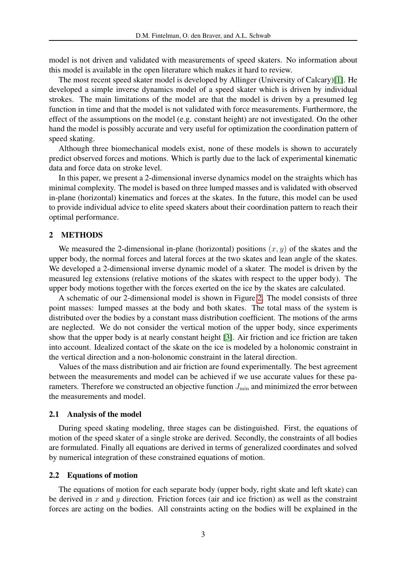model is not driven and validated with measurements of speed skaters. No information about this model is available in the open literature which makes it hard to review.

The most recent speed skater model is developed by Allinger (University of Calcary)[\[1\]](#page-18-1). He developed a simple inverse dynamics model of a speed skater which is driven by individual strokes. The main limitations of the model are that the model is driven by a presumed leg function in time and that the model is not validated with force measurements. Furthermore, the effect of the assumptions on the model (e.g. constant height) are not investigated. On the other hand the model is possibly accurate and very useful for optimization the coordination pattern of speed skating.

Although three biomechanical models exist, none of these models is shown to accurately predict observed forces and motions. Which is partly due to the lack of experimental kinematic data and force data on stroke level.

In this paper, we present a 2-dimensional inverse dynamics model on the straights which has minimal complexity. The model is based on three lumped masses and is validated with observed in-plane (horizontal) kinematics and forces at the skates. In the future, this model can be used to provide individual advice to elite speed skaters about their coordination pattern to reach their optimal performance.

# 2 METHODS

We measured the 2-dimensional in-plane (horizontal) positions  $(x, y)$  of the skates and the upper body, the normal forces and lateral forces at the two skates and lean angle of the skates. We developed a 2-dimensional inverse dynamic model of a skater. The model is driven by the measured leg extensions (relative motions of the skates with respect to the upper body). The upper body motions together with the forces exerted on the ice by the skates are calculated.

A schematic of our 2-dimensional model is shown in Figure [2.](#page-3-0) The model consists of three point masses: lumped masses at the body and both skates. The total mass of the system is distributed over the bodies by a constant mass distribution coefficient. The motions of the arms are neglected. We do not consider the vertical motion of the upper body, since experiments show that the upper body is at nearly constant height [\[3\]](#page-18-2). Air friction and ice friction are taken into account. Idealized contact of the skate on the ice is modeled by a holonomic constraint in the vertical direction and a non-holonomic constraint in the lateral direction.

Values of the mass distribution and air friction are found experimentally. The best agreement between the measurements and model can be achieved if we use accurate values for these parameters. Therefore we constructed an objective function  $J_{\text{min}}$  and minimized the error between the measurements and model.

### 2.1 Analysis of the model

During speed skating modeling, three stages can be distinguished. First, the equations of motion of the speed skater of a single stroke are derived. Secondly, the constraints of all bodies are formulated. Finally all equations are derived in terms of generalized coordinates and solved by numerical integration of these constrained equations of motion.

### 2.2 Equations of motion

The equations of motion for each separate body (upper body, right skate and left skate) can be derived in x and y direction. Friction forces (air and ice friction) as well as the constraint forces are acting on the bodies. All constraints acting on the bodies will be explained in the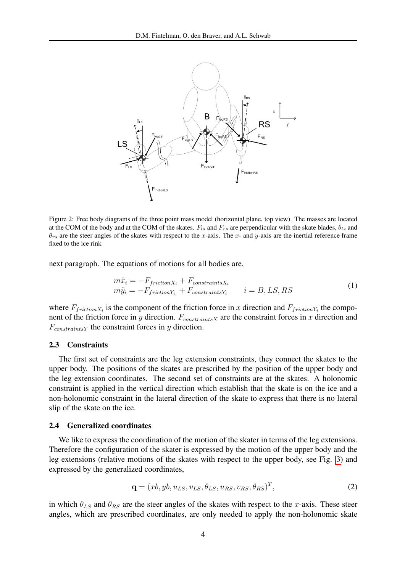

<span id="page-3-0"></span>Figure 2: Free body diagrams of the three point mass model (horizontal plane, top view). The masses are located at the COM of the body and at the COM of the skates.  $F_{ls}$  and  $F_{rs}$  are perpendicular with the skate blades,  $\theta_{ls}$  and  $\theta_{rs}$  are the steer angles of the skates with respect to the x-axis. The x- and y-axis are the inertial reference frame fixed to the ice rink

next paragraph. The equations of motions for all bodies are,

<span id="page-3-1"></span>
$$
m\ddot{x}_i = -F_{frictionX_i} + F_{constraintsX_i}
$$
  
\n
$$
m\ddot{y}_i = -F_{frictionY_i} + F_{constraintsY_i}
$$
  $i = B, LS, RS$  (1)

where  $F_{frictionX_i}$  is the component of the friction force in x direction and  $F_{frictionY_i}$  the component of the friction force in y direction.  $F_{constraints}$  are the constraint forces in x direction and  $F_{constraintsY}$  the constraint forces in y direction.

#### 2.3 Constraints

The first set of constraints are the leg extension constraints, they connect the skates to the upper body. The positions of the skates are prescribed by the position of the upper body and the leg extension coordinates. The second set of constraints are at the skates. A holonomic constraint is applied in the vertical direction which establish that the skate is on the ice and a non-holonomic constraint in the lateral direction of the skate to express that there is no lateral slip of the skate on the ice.

#### 2.4 Generalized coordinates

We like to express the coordination of the motion of the skater in terms of the leg extensions. Therefore the configuration of the skater is expressed by the motion of the upper body and the leg extensions (relative motions of the skates with respect to the upper body, see Fig. [3\)](#page-4-0) and expressed by the generalized coordinates,

<span id="page-3-2"></span>
$$
\mathbf{q} = (xb, yb, u_{LS}, v_{LS}, \theta_{LS}, u_{RS}, v_{RS}, \theta_{RS})^T, \tag{2}
$$

in which  $\theta_{LS}$  and  $\theta_{RS}$  are the steer angles of the skates with respect to the x-axis. These steer angles, which are prescribed coordinates, are only needed to apply the non-holonomic skate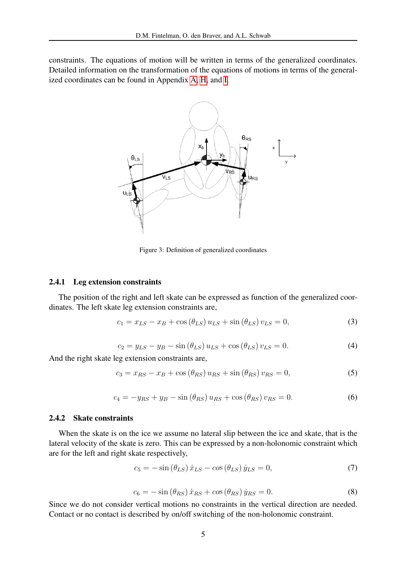constraints. The equations of motion will be written in terms of the generalized coordinates. Detailed information on the transformation of the equations of motions in terms of the generalized coordinates can be found in Appendix [A,](#page-13-0) [H,](#page-17-0) and [I.](#page-18-3)



<span id="page-4-1"></span><span id="page-4-0"></span>Figure 3: Definition of generalized coordinates

#### 2.4.1 Leg extension constraints

The position of the right and left skate can be expressed as function of the generalized coordinates. The left skate leg extension constraints are,

$$
c_1 = x_{LS} - x_B + \cos(\theta_{LS}) u_{LS} + \sin(\theta_{LS}) v_{LS} = 0,
$$
\n(3)

$$
c_2 = y_{LS} - y_B - \sin(\theta_{LS}) u_{LS} + \cos(\theta_{LS}) v_{LS} = 0.
$$
 (4)

<span id="page-4-2"></span>And the right skate leg extension constraints are,

$$
c_3 = x_{RS} - x_B + \cos\left(\theta_{RS}\right)u_{RS} + \sin\left(\theta_{RS}\right)v_{RS} = 0,\tag{5}
$$

$$
c_4 = -y_{RS} + y_B - \sin\left(\theta_{RS}\right)u_{RS} + \cos\left(\theta_{RS}\right)v_{RS} = 0.
$$
 (6)

### 2.4.2 Skate constraints

When the skate is on the ice we assume no lateral slip between the ice and skate, that is the lateral velocity of the skate is zero. This can be expressed by a non-holonomic constraint which are for the left and right skate respectively,

$$
c_5 = -\sin\left(\theta_{LS}\right)\dot{x}_{LS} - \cos\left(\theta_{LS}\right)\dot{y}_{LS} = 0,\tag{7}
$$

$$
c_6 = -\sin\left(\theta_{RS}\right)\dot{x}_{RS} + \cos\left(\theta_{RS}\right)\dot{y}_{RS} = 0. \tag{8}
$$

Since we do not consider vertical motions no constraints in the vertical direction are needed. Contact or no contact is described by on/off switching of the non-holonomic constraint.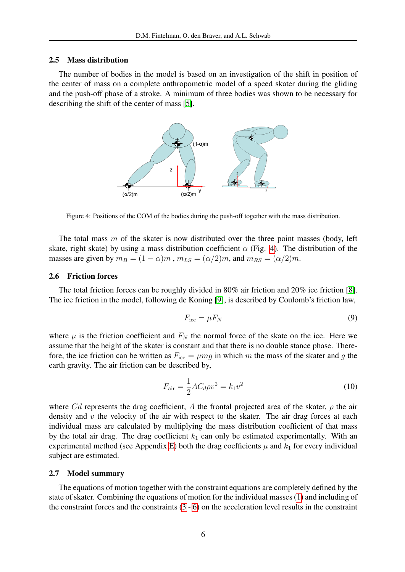#### 2.5 Mass distribution

The number of bodies in the model is based on an investigation of the shift in position of the center of mass on a complete anthropometric model of a speed skater during the gliding and the push-off phase of a stroke. A minimum of three bodies was shown to be necessary for describing the shift of the center of mass [\[5\]](#page-18-4).



<span id="page-5-0"></span>Figure 4: Positions of the COM of the bodies during the push-off together with the mass distribution.

The total mass  $m$  of the skater is now distributed over the three point masses (body, left skate, right skate) by using a mass distribution coefficient  $\alpha$  (Fig. [4\)](#page-5-0). The distribution of the masses are given by  $m_B = (1 - \alpha)m$ ,  $m_{LS} = (\alpha/2)m$ , and  $m_{RS} = (\alpha/2)m$ .

#### 2.6 Friction forces

The total friction forces can be roughly divided in 80% air friction and 20% ice friction [\[8\]](#page-19-2). The ice friction in the model, following de Koning [\[9\]](#page-19-3), is described by Coulomb's friction law,

$$
F_{\rm ice} = \mu F_N \tag{9}
$$

where  $\mu$  is the friction coefficient and  $F_N$  the normal force of the skate on the ice. Here we assume that the height of the skater is constant and that there is no double stance phase. Therefore, the ice friction can be written as  $F_{\text{ice}} = \mu mg$  in which m the mass of the skater and g the earth gravity. The air friction can be described by,

$$
F_{\text{air}} = \frac{1}{2} A C_d \rho v^2 = k_1 v^2 \tag{10}
$$

where Cd represents the drag coefficient, A the frontal projected area of the skater,  $\rho$  the air density and  $v$  the velocity of the air with respect to the skater. The air drag forces at each individual mass are calculated by multiplying the mass distribution coefficient of that mass by the total air drag. The drag coefficient  $k_1$  can only be estimated experimentally. With an experimental method (see Appendix [E\)](#page-15-0) both the drag coefficients  $\mu$  and  $k_1$  for every individual subject are estimated.

#### 2.7 Model summary

The equations of motion together with the constraint equations are completely defined by the state of skater. Combining the equations of motion for the individual masses [\(1\)](#page-3-1) and including of the constraint forces and the constraints  $(3 - 6)$  $(3 - 6)$  $(3 - 6)$  on the acceleration level results in the constraint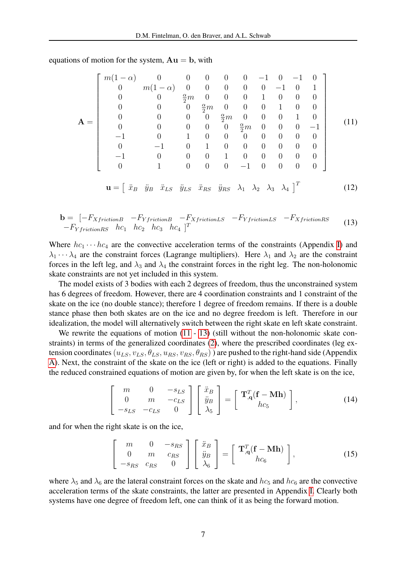<span id="page-6-0"></span> ${\bf A} =$  $\sqrt{ }$   $m(1-\alpha)$  0 0 0 0 0 −1 0 −1 0  $0 \t m(1-\alpha) \t 0 \t 0 \t 0 \t 0 \t 0 -1 \t 0 \t 1$ 0 0 <sup>α</sup> <sup>2</sup> m 0 0 0 1 0 0 0 0 0 0  $\frac{\alpha}{2}m$  0 0 0 1 0 0  $0$  0 0  $\frac{\alpha}{2}m$  0 0 0 1 0 0 0 0 0  $\frac{\alpha}{2}m$  0 0 0 -1 −1 0 1 0 0 0 0 0 0 0 0 −1 0 1 0 0 0 0 0 0 −1 0 0 0 1 0 0 0 0 0 0 1 0 0 0 −1 0 0 0 0 1 (11)  $\mathbf{u} = \begin{bmatrix} \ddot{x}_B & \ddot{y}_B & \ddot{x}_{LS} & \ddot{y}_{LS} & \ddot{x}_{RS} & \ddot{y}_{RS} & \lambda_1 & \lambda_2 & \lambda_3 & \lambda_4 \end{bmatrix}^T$ 

equations of motion for the system,  $Au = b$ , with

<span id="page-6-2"></span>(12)

<span id="page-6-1"></span>
$$
\mathbf{b} = \begin{bmatrix} -F_{XfrictionB} & -F_{YfrictionB} & -F_{XfrictionLS} & -F_{YfrictionLS} & -F_{XfrictionRS} \\ -F_{YfrictionRS} & hc_1 & hc_2 & hc_3 & hc_4 \end{bmatrix}^T
$$
 (13)

Where  $hc_1 \cdots hc_4$  are the convective acceleration terms of the constraints (Appendix [I\)](#page-18-3) and  $\lambda_1 \cdots \lambda_4$  are the constraint forces (Lagrange multipliers). Here  $\lambda_1$  and  $\lambda_2$  are the constraint forces in the left leg, and  $\lambda_3$  and  $\lambda_4$  the constraint forces in the right leg. The non-holonomic skate constraints are not yet included in this system.

The model exists of 3 bodies with each 2 degrees of freedom, thus the unconstrained system has 6 degrees of freedom. However, there are 4 coordination constraints and 1 constraint of the skate on the ice (no double stance); therefore 1 degree of freedom remains. If there is a double stance phase then both skates are on the ice and no degree freedom is left. Therefore in our idealization, the model will alternatively switch between the right skate en left skate constraint.

We rewrite the equations of motion  $(11 - 13)$  $(11 - 13)$  $(11 - 13)$  (still without the non-holonomic skate constraints) in terms of the generalized coordinates [\(2\)](#page-3-2), where the prescribed coordinates (leg extension coordinates  $(u_{LS}, v_{LS}, \theta_{LS}, u_{RS}, v_{RS}, \theta_{RS})$  are pushed to the right-hand side (Appendix [A\)](#page-13-0). Next, the constraint of the skate on the ice (left or right) is added to the equations. Finally the reduced constrained equations of motion are given by, for when the left skate is on the ice,

$$
\begin{bmatrix} m & 0 & -s_{LS} \\ 0 & m & -c_{LS} \\ -s_{LS} & -c_{LS} & 0 \end{bmatrix} \begin{bmatrix} \ddot{x}_B \\ \ddot{y}_B \\ \lambda_5 \end{bmatrix} = \begin{bmatrix} \mathbf{T}_{,\mathbf{q}}^T (\mathbf{f} - \mathbf{M} \mathbf{h}) \\ hc_5 \end{bmatrix},
$$
(14)

and for when the right skate is on the ice,

<span id="page-6-3"></span>
$$
\begin{bmatrix} m & 0 & -s_{RS} \\ 0 & m & c_{RS} \\ -s_{RS} & c_{RS} & 0 \end{bmatrix} \begin{bmatrix} \ddot{x}_B \\ \ddot{y}_B \\ \lambda_6 \end{bmatrix} = \begin{bmatrix} \mathbf{T}_{,\mathbf{q}}^T (\mathbf{f} - \mathbf{M} \mathbf{h}) \\ h c_6 \end{bmatrix},
$$
(15)

where  $\lambda_5$  and  $\lambda_6$  are the lateral constraint forces on the skate and  $hc_5$  and  $hc_6$  are the convective acceleration terms of the skate constraints, the latter are presented in Appendix [I.](#page-18-3) Clearly both systems have one degree of freedom left, one can think of it as being the forward motion.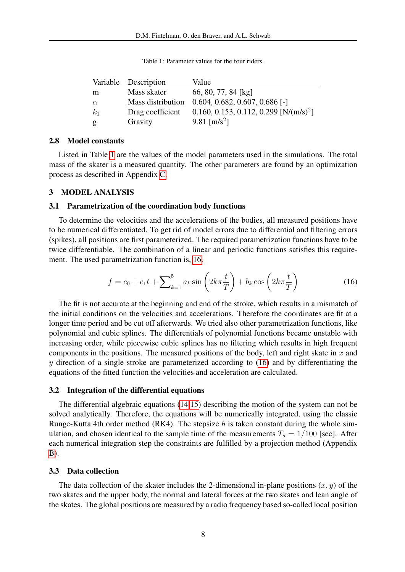|          | Variable Description | Value                                              |
|----------|----------------------|----------------------------------------------------|
| m        | Mass skater          | 66, 80, 77, 84 [kg]                                |
| $\alpha$ |                      | Mass distribution 0.604, 0.682, 0.607, 0.686 [-]   |
| $k_1$    | Drag coefficient     | 0.160, 0.153, 0.112, 0.299 [N/(m/s) <sup>2</sup> ] |
| g        | Gravity              | 9.81 [ $m/s^2$ ]                                   |

<span id="page-7-0"></span>Table 1: Parameter values for the four riders.

#### 2.8 Model constants

Listed in Table [1](#page-7-0) are the values of the model parameters used in the simulations. The total mass of the skater is a measured quantity. The other parameters are found by an optimization process as described in Appendix [C.](#page-14-0)

### 3 MODEL ANALYSIS

### 3.1 Parametrization of the coordination body functions

To determine the velocities and the accelerations of the bodies, all measured positions have to be numerical differentiated. To get rid of model errors due to differential and filtering errors (spikes), all positions are first parameterized. The required parametrization functions have to be twice differentiable. The combination of a linear and periodic functions satisfies this requirement. The used parametrization function is, [16.](#page-7-1)

<span id="page-7-1"></span>
$$
f = c_0 + c_1 t + \sum_{k=1}^{5} a_k \sin\left(2k\pi \frac{t}{T}\right) + b_k \cos\left(2k\pi \frac{t}{T}\right)
$$
 (16)

The fit is not accurate at the beginning and end of the stroke, which results in a mismatch of the initial conditions on the velocities and accelerations. Therefore the coordinates are fit at a longer time period and be cut off afterwards. We tried also other parametrization functions, like polynomial and cubic splines. The differentials of polynomial functions became unstable with increasing order, while piecewise cubic splines has no filtering which results in high frequent components in the positions. The measured positions of the body, left and right skate in  $x$  and y direction of a single stroke are parameterized according to  $(16)$  and by differentiating the equations of the fitted function the velocities and acceleration are calculated.

#### 3.2 Integration of the differential equations

The differential algebraic equations [\(14,](#page-6-2)[15\)](#page-6-3) describing the motion of the system can not be solved analytically. Therefore, the equations will be numerically integrated, using the classic Runge-Kutta 4th order method (RK4). The stepsize *h* is taken constant during the whole simulation, and chosen identical to the sample time of the measurements  $T_s = 1/100$  [sec]. After each numerical integration step the constraints are fulfilled by a projection method (Appendix [B\)](#page-14-1).

### 3.3 Data collection

The data collection of the skater includes the 2-dimensional in-plane positions  $(x, y)$  of the two skates and the upper body, the normal and lateral forces at the two skates and lean angle of the skates. The global positions are measured by a radio frequency based so-called local position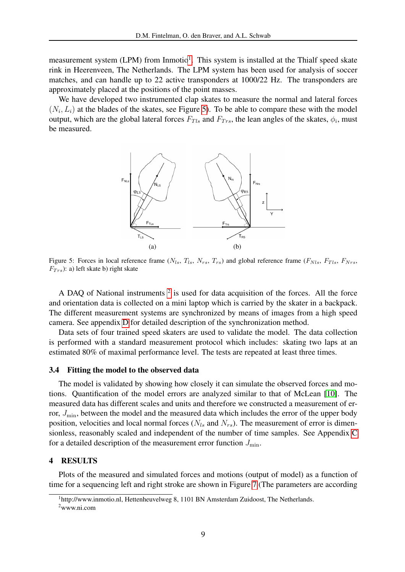measurement system (LPM) from Inmotio<sup>[1](#page-8-0)</sup>. This system is installed at the Thialf speed skate rink in Heerenveen, The Netherlands. The LPM system has been used for analysis of soccer matches, and can handle up to 22 active transponders at 1000/22 Hz. The transponders are approximately placed at the positions of the point masses.

We have developed two instrumented clap skates to measure the normal and lateral forces  $(N_i, L_i)$  at the blades of the skates, see Figure [5\)](#page-8-1). To be able to compare these with the model output, which are the global lateral forces  $F_{Tls}$  and  $F_{Trs}$ , the lean angles of the skates,  $\phi_i$ , must be measured.



<span id="page-8-1"></span>Figure 5: Forces in local reference frame  $(N_{ls}, T_{ls}, N_{rs}, T_{rs})$  and global reference frame  $(F_{Nls}, F_{Tls}, F_{Nrs}, F_{Nls})$  $F_{Trs}$ ): a) left skate b) right skate

A DAQ of National instruments  $2$  is used for data acquisition of the forces. All the force and orientation data is collected on a mini laptop which is carried by the skater in a backpack. The different measurement systems are synchronized by means of images from a high speed camera. See appendix [D](#page-15-1) for detailed description of the synchronization method.

Data sets of four trained speed skaters are used to validate the model. The data collection is performed with a standard measurement protocol which includes: skating two laps at an estimated 80% of maximal performance level. The tests are repeated at least three times.

#### 3.4 Fitting the model to the observed data

The model is validated by showing how closely it can simulate the observed forces and motions. Quantification of the model errors are analyzed similar to that of McLean [\[10\]](#page-19-4). The measured data has different scales and units and therefore we constructed a measurement of error,  $J_{\text{min}}$ , between the model and the measured data which includes the error of the upper body position, velocities and local normal forces  $(N_{ls}$  and  $N_{rs})$ . The measurement of error is dimensionless, reasonably scaled and independent of the number of time samples. See Appendix [C](#page-14-0) for a detailed description of the measurement error function  $J_{\text{min}}$ .

### 4 RESULTS

Plots of the measured and simulated forces and motions (output of model) as a function of time for a sequencing left and right stroke are shown in Figure [7](#page-10-0) (The parameters are according

<span id="page-8-0"></span><sup>&</sup>lt;sup>1</sup>http://www.inmotio.nl, Hettenheuvelweg 8, 1101 BN Amsterdam Zuidoost, The Netherlands.

<span id="page-8-2"></span><sup>2</sup>www.ni.com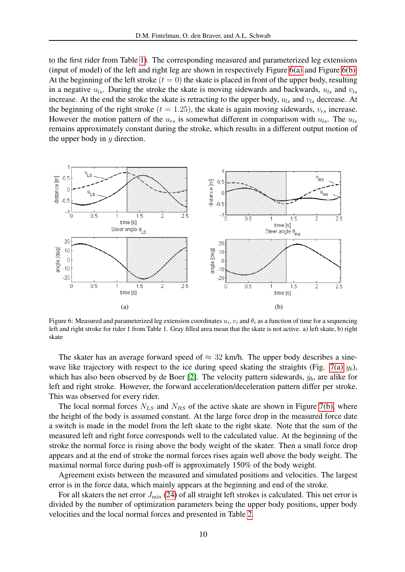to the first rider from Table [1\)](#page-7-0). The corresponding measured and parameterized leg extensions (input of model) of the left and right leg are shown in respectively Figure [6\(a\)](#page-9-0) and Figure [6\(b\).](#page-9-1) At the beginning of the left stroke  $(t = 0)$  the skate is placed in front of the upper body, resulting in a negative  $u_{ls}$ . During the stroke the skate is moving sidewards and backwards,  $u_{ls}$  and  $v_{ls}$ increase. At the end the stroke the skate is retracting to the upper body,  $u_{ls}$  and  $v_{ls}$  decrease. At the beginning of the right stroke ( $t = 1.25$ ), the skate is again moving sidewards,  $v_{rs}$  increase. However the motion pattern of the  $u_{rs}$  is somewhat different in comparison with  $u_{ls}$ . The  $u_{ls}$ remains approximately constant during the stroke, which results in a different output motion of the upper body in  $y$  direction.

<span id="page-9-0"></span>

<span id="page-9-1"></span>Figure 6: Measured and parameterized leg extension coordinates  $u_i, v_i$  and  $\theta_i$  as a function of time for a sequencing left and right stroke for rider 1 from Table 1. Gray filled area mean that the skate is not active. a) left skate, b) right skate

The skater has an average forward speed of  $\approx 32$  km/h. The upper body describes a sine-wave like trajectory with respect to the ice during speed skating the straights (Fig. [7\(a\)](#page-10-1)  $y_b$ ), which has also been observed by de Boer [\[2\]](#page-18-0). The velocity pattern sidewards,  $\dot{y}_b$ , are alike for left and right stroke. However, the forward acceleration/deceleration pattern differ per stroke. This was observed for every rider.

The local normal forces  $N_{LS}$  and  $N_{RS}$  of the active skate are shown in Figure [7\(b\),](#page-10-2) where the height of the body is assumed constant. At the large force drop in the measured force date a switch is made in the model from the left skate to the right skate. Note that the sum of the measured left and right force corresponds well to the calculated value. At the beginning of the stroke the normal force is rising above the body weight of the skater. Then a small force drop appears and at the end of stroke the normal forces rises again well above the body weight. The maximal normal force during push-off is approximately 150% of the body weight.

Agreement exists between the measured and simulated positions and velocities. The largest error is in the force data, which mainly appears at the beginning and end of the stroke.

For all skaters the net error  $J_{\text{min}}$  [\(24\)](#page-14-2) of all straight left strokes is calculated. This net error is divided by the number of optimization parameters being the upper body positions, upper body velocities and the local normal forces and presented in Table [2.](#page-10-3)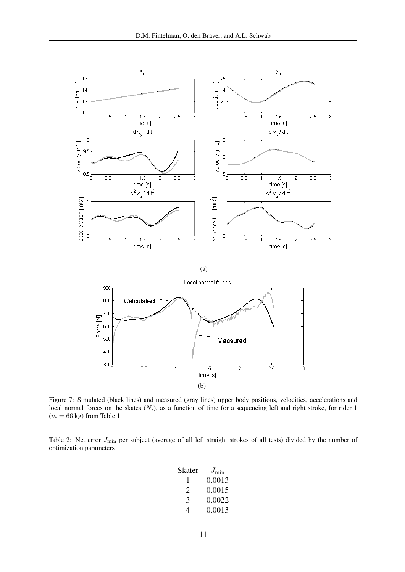<span id="page-10-1"></span>

<span id="page-10-2"></span><span id="page-10-0"></span>Figure 7: Simulated (black lines) and measured (gray lines) upper body positions, velocities, accelerations and local normal forces on the skates  $(N_i)$ , as a function of time for a sequencing left and right stroke, for rider 1  $(m = 66 \text{ kg})$  from Table 1

<span id="page-10-3"></span>Table 2: Net error  $J_{\text{min}}$  per subject (average of all left straight strokes of all tests) divided by the number of optimization parameters

| Skater | $J_{\rm min}$ |
|--------|---------------|
|        | 0.0013        |
| 2      | 0.0015        |
| 3      | 0.0022        |
| 4      | 0.0013        |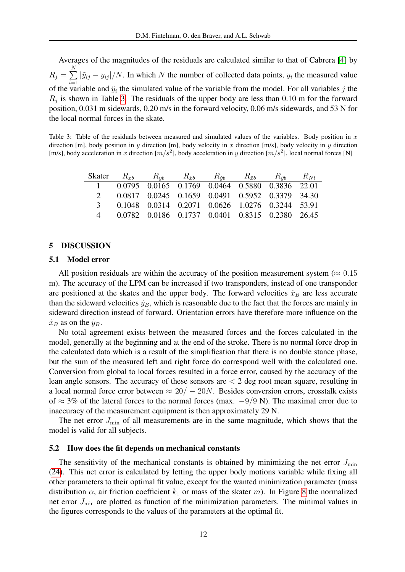Averages of the magnitudes of the residuals are calculated similar to that of Cabrera [\[4\]](#page-18-5) by  $R_j = \sum^N$  $i=1$  $|\tilde{y}_{ij} - y_{ij}|/N$ . In which N the number of collected data points,  $y_i$  the measured value of the variable and  $\tilde{y}_i$  the simulated value of the variable from the model. For all variables j the  $R_j$  is shown in Table [3.](#page-11-0) The residuals of the upper body are less than 0.10 m for the forward position, 0.031 m sidewards, 0.20 m/s in the forward velocity, 0.06 m/s sidewards, and 53 N for the local normal forces in the skate.

<span id="page-11-0"></span>Table 3: Table of the residuals between measured and simulated values of the variables. Body position in  $x$ direction [m], body position in y direction [m], body velocity in x direction [m/s], body velocity in y direction [m/s], body acceleration in x direction  $[m/s^2]$ , body acceleration in y direction  $[m/s^2]$ , local normal forces [N]

|  |  | Skater $R_{xb}$ $R_{vb}$ $R_{\ddot{x}b}$ $R_{\ddot{y}b}$ $R_{\ddot{x}b}$ $R_{\ddot{y}b}$ $R_{NI}$ |  |  |
|--|--|---------------------------------------------------------------------------------------------------|--|--|
|  |  | 1 0.0795 0.0165 0.1769 0.0464 0.5880 0.3836 22.01                                                 |  |  |
|  |  | 0.0817 0.0245 0.1659 0.0491 0.5952 0.3379 34.30                                                   |  |  |
|  |  | 3 0.1048 0.0314 0.2071 0.0626 1.0276 0.3244 53.91                                                 |  |  |
|  |  | 0.0782 0.0186 0.1737 0.0401 0.8315 0.2380 26.45                                                   |  |  |

#### 5 DISCUSSION

#### 5.1 Model error

All position residuals are within the accuracy of the position measurement system ( $\approx 0.15$ ) m). The accuracy of the LPM can be increased if two transponders, instead of one transponder are positioned at the skates and the upper body. The forward velocities  $\dot{x}_B$  are less accurate than the sideward velocities  $\dot{y}_B$ , which is reasonable due to the fact that the forces are mainly in sideward direction instead of forward. Orientation errors have therefore more influence on the  $\dot{x}_B$  as on the  $\dot{y}_B$ .

No total agreement exists between the measured forces and the forces calculated in the model, generally at the beginning and at the end of the stroke. There is no normal force drop in the calculated data which is a result of the simplification that there is no double stance phase, but the sum of the measured left and right force do correspond well with the calculated one. Conversion from global to local forces resulted in a force error, caused by the accuracy of the lean angle sensors. The accuracy of these sensors are  $\lt 2$  deg root mean square, resulting in a local normal force error between  $\approx 20/-20N$ . Besides conversion errors, crosstalk exists of  $\approx$  3% of the lateral forces to the normal forces (max.  $-9/9$  N). The maximal error due to inaccuracy of the measurement equipment is then approximately 29 N.

The net error  $J_{\text{min}}$  of all measurements are in the same magnitude, which shows that the model is valid for all subjects.

#### 5.2 How does the fit depends on mechanical constants

The sensitivity of the mechanical constants is obtained by minimizing the net error  $J_{\text{min}}$ [\(24\)](#page-14-2). This net error is calculated by letting the upper body motions variable while fixing all other parameters to their optimal fit value, except for the wanted minimization parameter (mass distribution  $\alpha$ , air friction coefficient  $k_1$  or mass of the skater m). In Figure [8](#page-12-0) the normalized net error  $J_{\text{min}}$  are plotted as function of the minimization parameters. The minimal values in the figures corresponds to the values of the parameters at the optimal fit.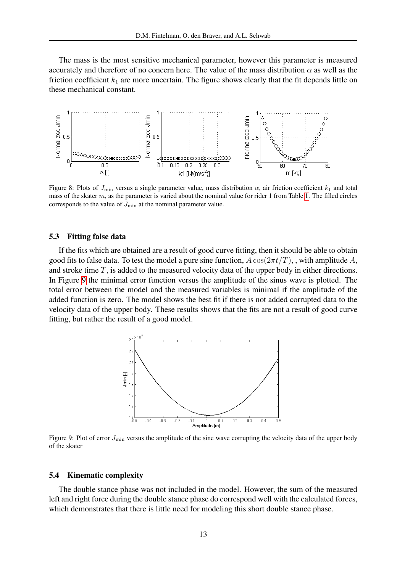The mass is the most sensitive mechanical parameter, however this parameter is measured accurately and therefore of no concern here. The value of the mass distribution  $\alpha$  as well as the friction coefficient  $k_1$  are more uncertain. The figure shows clearly that the fit depends little on these mechanical constant.



<span id="page-12-0"></span>Figure 8: Plots of  $J_{\text{min}}$  versus a single parameter value, mass distribution  $\alpha$ , air friction coefficient  $k_1$  and total mass of the skater  $m$ , as the parameter is varied about the nominal value for rider 1 from Table [1.](#page-7-0) The filled circles corresponds to the value of  $J_{\text{min}}$  at the nominal parameter value.

#### 5.3 Fitting false data

If the fits which are obtained are a result of good curve fitting, then it should be able to obtain good fits to false data. To test the model a pure sine function,  $A \cos(2\pi t/T)$ , with amplitude A, and stroke time T, is added to the measured velocity data of the upper body in either directions. In Figure [9](#page-12-1) the minimal error function versus the amplitude of the sinus wave is plotted. The total error between the model and the measured variables is minimal if the amplitude of the added function is zero. The model shows the best fit if there is not added corrupted data to the velocity data of the upper body. These results shows that the fits are not a result of good curve fitting, but rather the result of a good model.



<span id="page-12-1"></span>Figure 9: Plot of error  $J_{\text{min}}$  versus the amplitude of the sine wave corrupting the velocity data of the upper body of the skater

#### 5.4 Kinematic complexity

The double stance phase was not included in the model. However, the sum of the measured left and right force during the double stance phase do correspond well with the calculated forces, which demonstrates that there is little need for modeling this short double stance phase.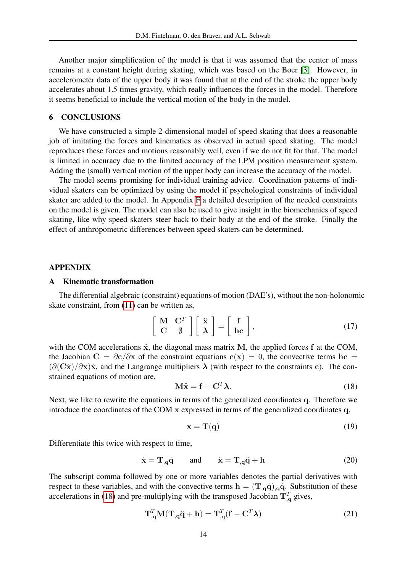Another major simplification of the model is that it was assumed that the center of mass remains at a constant height during skating, which was based on the Boer [\[3\]](#page-18-2). However, in accelerometer data of the upper body it was found that at the end of the stroke the upper body accelerates about 1.5 times gravity, which really influences the forces in the model. Therefore it seems beneficial to include the vertical motion of the body in the model.

# 6 CONCLUSIONS

We have constructed a simple 2-dimensional model of speed skating that does a reasonable job of imitating the forces and kinematics as observed in actual speed skating. The model reproduces these forces and motions reasonably well, even if we do not fit for that. The model is limited in accuracy due to the limited accuracy of the LPM position measurement system. Adding the (small) vertical motion of the upper body can increase the accuracy of the model.

The model seems promising for individual training advice. Coordination patterns of individual skaters can be optimized by using the model if psychological constraints of individual skater are added to the model. In Appendix [F](#page-15-2) a detailed description of the needed constraints on the model is given. The model can also be used to give insight in the biomechanics of speed skating, like why speed skaters steer back to their body at the end of the stroke. Finally the effect of anthropometric differences between speed skaters can be determined.

#### APPENDIX

### <span id="page-13-0"></span>A Kinematic transformation

The differential algebraic (constraint) equations of motion (DAE's), without the non-holonomic skate constraint, from [\(11\)](#page-6-0) can be written as,

$$
\left[\begin{array}{cc} \mathbf{M} & \mathbf{C}^T \\ \mathbf{C} & \emptyset \end{array}\right] \left[\begin{array}{c} \ddot{\mathbf{x}} \\ \mathbf{\lambda} \end{array}\right] = \left[\begin{array}{c} \mathbf{f} \\ \mathbf{hc} \end{array}\right],\tag{17}
$$

with the COM accelerations  $\ddot{x}$ , the diagonal mass matrix M, the applied forces  $f$  at the COM, the Jacobian  $C = \partial c / \partial x$  of the constraint equations  $c(x) = 0$ , the convective terms hc =  $(\partial (\mathbf{C}\mathbf{x})/\partial \mathbf{x})\mathbf{x}$ , and the Langrange multipliers  $\lambda$  (with respect to the constraints c). The constrained equations of motion are,

<span id="page-13-1"></span>
$$
\mathbf{M}\ddot{\mathbf{x}} = \mathbf{f} - \mathbf{C}^T \boldsymbol{\lambda}.
$$
 (18)

Next, we like to rewrite the equations in terms of the generalized coordinates q. Therefore we introduce the coordinates of the COM x expressed in terms of the generalized coordinates q,

$$
\mathbf{x} = \mathbf{T}(\mathbf{q}) \tag{19}
$$

Differentiate this twice with respect to time,

$$
\dot{\mathbf{x}} = \mathbf{T}_{,\mathbf{q}} \dot{\mathbf{q}} \quad \text{and} \quad \ddot{\mathbf{x}} = \mathbf{T}_{,\mathbf{q}} \ddot{\mathbf{q}} + \mathbf{h} \tag{20}
$$

The subscript comma followed by one or more variables denotes the partial derivatives with respect to these variables, and with the convective terms  $h = (T_q \dot{q})_q \dot{q}$ . Substitution of these accelerations in [\(18\)](#page-13-1) and pre-multiplying with the transposed Jacobian  $T_{q}^{T}$  gives,

$$
\mathbf{T}_{,\mathbf{q}}^T \mathbf{M}(\mathbf{T}_{,\mathbf{q}} \ddot{\mathbf{q}} + \mathbf{h}) = \mathbf{T}_{,\mathbf{q}}^T (\mathbf{f} - \mathbf{C}^T \boldsymbol{\lambda})
$$
(21)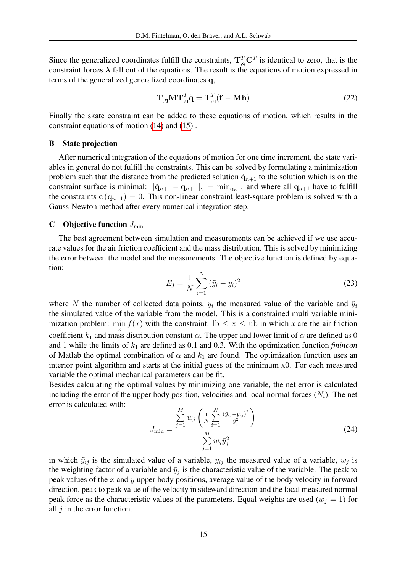Since the generalized coordinates fulfill the constraints,  $T_{q}^{T}C^{T}$  is identical to zero, that is the constraint forces  $\lambda$  fall out of the equations. The result is the equations of motion expressed in terms of the generalized generalized coordinates q,

$$
\mathbf{T}_{,\mathbf{q}}\mathbf{M}\mathbf{T}_{,\mathbf{q}}^T\ddot{\mathbf{q}} = \mathbf{T}_{,\mathbf{q}}^T(\mathbf{f} - \mathbf{M}\mathbf{h})\tag{22}
$$

Finally the skate constraint can be added to these equations of motion, which results in the constraint equations of motion [\(14\)](#page-6-2) and [\(15\)](#page-6-3) .

#### <span id="page-14-1"></span>B State projection

After numerical integration of the equations of motion for one time increment, the state variables in general do not fulfill the constraints. This can be solved by formulating a minimization problem such that the distance from the predicted solution  $\tilde{q}_{n+1}$  to the solution which is on the constraint surface is minimal:  $\|\tilde{\mathbf{q}}_{n+1} - \mathbf{q}_{n+1}\|_2 = \min_{\mathbf{q}_{n+1}}$  and where all  $\mathbf{q}_{n+1}$  have to fulfill the constraints  $c(q_{n+1}) = 0$ . This non-linear constraint least-square problem is solved with a Gauss-Newton method after every numerical integration step.

### <span id="page-14-0"></span>C Objective function  $J_{\text{min}}$

The best agreement between simulation and measurements can be achieved if we use accurate values for the air friction coefficient and the mass distribution. This is solved by minimizing the error between the model and the measurements. The objective function is defined by equation:

$$
E_j = \frac{1}{N} \sum_{i=1}^{N} (\tilde{y}_i - y_i)^2
$$
 (23)

where N the number of collected data points,  $y_i$  the measured value of the variable and  $\tilde{y}_i$ the simulated value of the variable from the model. This is a constrained multi variable minimization problem:  $\min_{x} f(x)$  with the constraint:  $\ln \leq x \leq \text{ub in which } x$  are the air friction coefficient  $k_1$  and mass distribution constant  $\alpha$ . The upper and lower limit of  $\alpha$  are defined as 0 and 1 while the limits of  $k_1$  are defined as 0.1 and 0.3. With the optimization function *fmincon* of Matlab the optimal combination of  $\alpha$  and  $k_1$  are found. The optimization function uses an interior point algorithm and starts at the initial guess of the minimum x0. For each measured variable the optimal mechanical parameters can be fit.

Besides calculating the optimal values by minimizing one variable, the net error is calculated including the error of the upper body position, velocities and local normal forces  $(N_i)$ . The net error is calculated with: M

<span id="page-14-2"></span>
$$
J_{\min} = \frac{\sum_{j=1}^{M} w_j \left( \frac{1}{N} \sum_{i=1}^{N} \frac{(\tilde{y}_{ij} - y_{ij})^2}{\tilde{y}_j^2} \right)}{\sum_{j=1}^{M} w_j \tilde{y}_j^2}
$$
(24)

in which  $\tilde{y}_{ij}$  is the simulated value of a variable,  $y_{ij}$  the measured value of a variable,  $w_j$  is the weighting factor of a variable and  $\bar{y}_j$  is the characteristic value of the variable. The peak to peak values of the x and y upper body positions, average value of the body velocity in forward direction, peak to peak value of the velocity in sideward direction and the local measured normal peak force as the characteristic values of the parameters. Equal weights are used ( $w_j = 1$ ) for all  $j$  in the error function.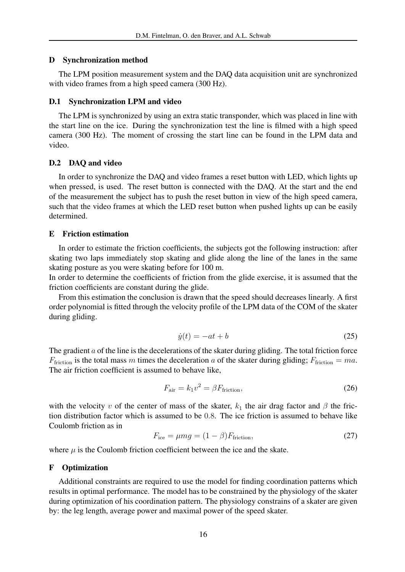### <span id="page-15-1"></span>D Synchronization method

The LPM position measurement system and the DAQ data acquisition unit are synchronized with video frames from a high speed camera (300 Hz).

### D.1 Synchronization LPM and video

The LPM is synchronized by using an extra static transponder, which was placed in line with the start line on the ice. During the synchronization test the line is filmed with a high speed camera (300 Hz). The moment of crossing the start line can be found in the LPM data and video.

### D.2 DAQ and video

In order to synchronize the DAQ and video frames a reset button with LED, which lights up when pressed, is used. The reset button is connected with the DAQ. At the start and the end of the measurement the subject has to push the reset button in view of the high speed camera, such that the video frames at which the LED reset button when pushed lights up can be easily determined.

## <span id="page-15-0"></span>E Friction estimation

In order to estimate the friction coefficients, the subjects got the following instruction: after skating two laps immediately stop skating and glide along the line of the lanes in the same skating posture as you were skating before for 100 m.

In order to determine the coefficients of friction from the glide exercise, it is assumed that the friction coefficients are constant during the glide.

From this estimation the conclusion is drawn that the speed should decreases linearly. A first order polynomial is fitted through the velocity profile of the LPM data of the COM of the skater during gliding.

$$
\dot{y}(t) = -at + b \tag{25}
$$

The gradient  $a$  of the line is the decelerations of the skater during gliding. The total friction force  $F_{\text{friction}}$  is the total mass m times the deceleration a of the skater during gliding;  $F_{\text{friction}} = ma$ . The air friction coefficient is assumed to behave like,

$$
F_{\text{air}} = k_1 v^2 = \beta F_{\text{friction}},\tag{26}
$$

with the velocity v of the center of mass of the skater,  $k_1$  the air drag factor and  $\beta$  the friction distribution factor which is assumed to be 0.8. The ice friction is assumed to behave like Coulomb friction as in

$$
F_{\text{ice}} = \mu mg = (1 - \beta) F_{\text{friction}},\tag{27}
$$

where  $\mu$  is the Coulomb friction coefficient between the ice and the skate.

### <span id="page-15-2"></span>F Optimization

Additional constraints are required to use the model for finding coordination patterns which results in optimal performance. The model has to be constrained by the physiology of the skater during optimization of his coordination pattern. The physiology constrains of a skater are given by: the leg length, average power and maximal power of the speed skater.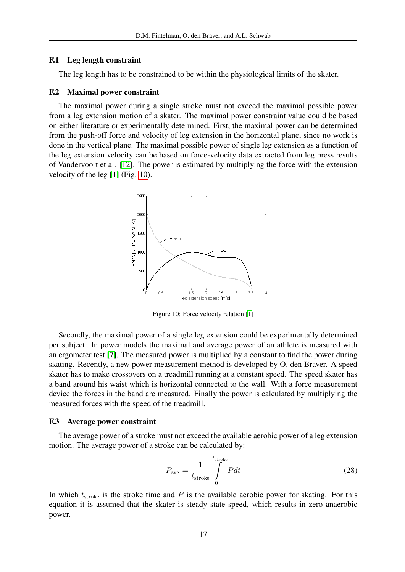#### F.1 Leg length constraint

The leg length has to be constrained to be within the physiological limits of the skater.

#### F.2 Maximal power constraint

The maximal power during a single stroke must not exceed the maximal possible power from a leg extension motion of a skater. The maximal power constraint value could be based on either literature or experimentally determined. First, the maximal power can be determined from the push-off force and velocity of leg extension in the horizontal plane, since no work is done in the vertical plane. The maximal possible power of single leg extension as a function of the leg extension velocity can be based on force-velocity data extracted from leg press results of Vandervoort et al. [\[12\]](#page-19-5). The power is estimated by multiplying the force with the extension velocity of the leg [\[1\]](#page-18-1) (Fig. [10\)](#page-16-0).



<span id="page-16-0"></span>Figure 10: Force velocity relation [\[1\]](#page-18-1)

Secondly, the maximal power of a single leg extension could be experimentally determined per subject. In power models the maximal and average power of an athlete is measured with an ergometer test [\[7\]](#page-19-1). The measured power is multiplied by a constant to find the power during skating. Recently, a new power measurement method is developed by O. den Braver. A speed skater has to make crossovers on a treadmill running at a constant speed. The speed skater has a band around his waist which is horizontal connected to the wall. With a force measurement device the forces in the band are measured. Finally the power is calculated by multiplying the measured forces with the speed of the treadmill.

### F.3 Average power constraint

The average power of a stroke must not exceed the available aerobic power of a leg extension motion. The average power of a stroke can be calculated by:

<span id="page-16-1"></span>
$$
P_{\text{avg}} = \frac{1}{t_{\text{stroke}}} \int_{0}^{t_{\text{stroke}}} P dt
$$
 (28)

In which  $t_{\text{stroke}}$  is the stroke time and  $P$  is the available aerobic power for skating. For this equation it is assumed that the skater is steady state speed, which results in zero anaerobic power.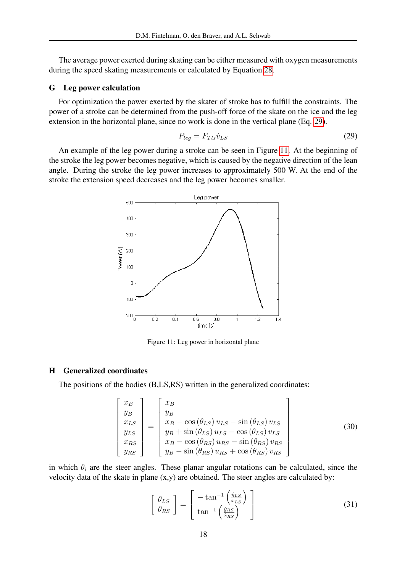The average power exerted during skating can be either measured with oxygen measurements during the speed skating measurements or calculated by Equation [28.](#page-16-1)

### G Leg power calculation

For optimization the power exerted by the skater of stroke has to fulfill the constraints. The power of a stroke can be determined from the push-off force of the skate on the ice and the leg extension in the horizontal plane, since no work is done in the vertical plane (Eq. [29\)](#page-17-1).

<span id="page-17-1"></span>
$$
P_{leg} = F_{Tls} \dot{v}_{LS} \tag{29}
$$

An example of the leg power during a stroke can be seen in Figure [11.](#page-17-2) At the beginning of the stroke the leg power becomes negative, which is caused by the negative direction of the lean angle. During the stroke the leg power increases to approximately 500 W. At the end of the stroke the extension speed decreases and the leg power becomes smaller.



<span id="page-17-2"></span>Figure 11: Leg power in horizontal plane

### <span id="page-17-0"></span>H Generalized coordinates

The positions of the bodies (B,LS,RS) written in the generalized coordinates:

$$
\begin{bmatrix} x_B \\ y_B \\ x_{LS} \\ y_{LS} \\ x_{RS} \\ y_{RS} \end{bmatrix} = \begin{bmatrix} x_B \\ y_B \\ x_B - \cos(\theta_{LS}) u_{LS} - \sin(\theta_{LS}) v_{LS} \\ y_B + \sin(\theta_{LS}) u_{LS} - \cos(\theta_{LS}) v_{LS} \\ x_B - \cos(\theta_{RS}) u_{RS} - \sin(\theta_{RS}) v_{RS} \\ y_B - \sin(\theta_{RS}) u_{RS} + \cos(\theta_{RS}) v_{RS} \end{bmatrix}
$$
(30)

in which  $\theta_i$  are the steer angles. These planar angular rotations can be calculated, since the velocity data of the skate in plane (x,y) are obtained. The steer angles are calculated by:

$$
\begin{bmatrix}\n\theta_{LS} \\
\theta_{RS}\n\end{bmatrix} = \begin{bmatrix}\n-\tan^{-1}\left(\frac{\dot{y}_{LS}}{\dot{x}_{LS}}\right) \\
\tan^{-1}\left(\frac{\dot{y}_{RS}}{\dot{x}_{RS}}\right)\n\end{bmatrix}
$$
\n(31)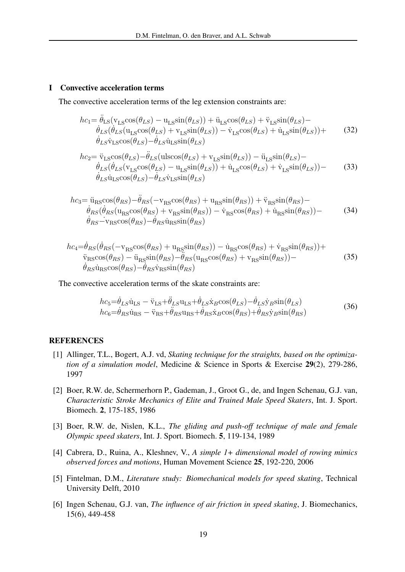### <span id="page-18-3"></span>I Convective acceleration terms

The convective acceleration terms of the leg extension constraints are:

$$
hc_1 = \ddot{\theta}_{LS} (v_{LS} \cos(\theta_{LS}) - u_{LS} \sin(\theta_{LS})) + \ddot{u}_{LS} \cos(\theta_{LS}) + \ddot{v}_{LS} \sin(\theta_{LS}) - \n\dot{\theta}_{LS} (\dot{\theta}_{LS} (u_{LS} \cos(\theta_{LS}) + v_{LS} \sin(\theta_{LS})) - \dot{v}_{LS} \cos(\theta_{LS}) + \dot{u}_{LS} \sin(\theta_{LS})) + \n\dot{\theta}_{LS} \dot{v}_{LS} \cos(\theta_{LS}) - \dot{\theta}_{LS} \dot{u}_{LS} \sin(\theta_{LS})
$$
\n(32)

$$
hc_2 = \ddot{v}_{LS}\cos(\theta_{LS}) - \ddot{\theta}_{LS}(\text{ulscos}(\theta_{LS}) + v_{LS}\sin(\theta_{LS})) - \ddot{u}_{LS}\sin(\theta_{LS}) - \n\dot{\theta}_{LS}(\dot{\theta}_{LS}(v_{LS}\cos(\theta_{LS}) - u_{LS}\sin(\theta_{LS})) + \dot{u}_{LS}\cos(\theta_{LS}) + \dot{v}_{LS}\sin(\theta_{LS})) - \n\dot{\theta}_{LS}\dot{u}_{LS}\cos(\theta_{LS}) - \dot{\theta}_{LS}\dot{v}_{LS}\sin(\theta_{LS})
$$
\n(33)

$$
hc_3 = \ddot{u}_{RS}\cos(\theta_{RS}) - \ddot{\theta}_{RS}(-v_{RS}\cos(\theta_{RS}) + u_{RS}\sin(\theta_{RS})) + \ddot{v}_{RS}\sin(\theta_{RS}) - \n\dot{\theta}_{RS}(\dot{\theta}_{RS}(u_{RS}\cos(\theta_{RS}) + v_{RS}\sin(\theta_{RS})) - \dot{v}_{RS}\cos(\theta_{RS}) + \dot{u}_{RS}\sin(\theta_{RS})) - \n\dot{\theta}_{RS} - v_{RS}\cos(\theta_{RS}) - \dot{\theta}_{RS}\dot{u}_{RS}\sin(\theta_{RS})
$$
\n(34)

$$
hc_4 = \dot{\theta}_{RS}(\dot{\theta}_{RS}(-\mathbf{v}_{RS}\cos(\theta_{RS}) + \mathbf{u}_{RS}\sin(\theta_{RS})) - \dot{\mathbf{u}}_{RS}\cos(\theta_{RS}) + \dot{\mathbf{v}}_{RS}\sin(\theta_{RS})) + \ddot{\mathbf{v}}_{RS}\cos(\theta_{RS}) - \ddot{\mathbf{u}}_{RS}\sin(\theta_{RS}) - \dot{\theta}_{RS}(\mathbf{u}_{RS}\cos(\theta_{RS}) + \mathbf{v}_{RS}\sin(\theta_{RS})) - \dot{\theta}_{RS}\dot{\mathbf{u}}_{RS}\cos(\theta_{RS}) - \dot{\theta}_{RS}\dot{\mathbf{v}}_{RS}\sin(\theta_{RS})
$$
\n(35)

The convective acceleration terms of the skate constraints are:

$$
hc_5 = \dot{\theta}_{LS}\dot{u}_{LS} - \ddot{v}_{LS} + \ddot{\theta}_{LS}u_{LS} + \dot{\theta}_{LS}\dot{x}_{BCOS}(\theta_{LS}) - \dot{\theta}_{LS}\dot{y}_{BS}\dot{m}(\theta_{LS}) hc_6 = \dot{\theta}_{RS}\dot{u}_{RS} - \ddot{v}_{RS} + \ddot{\theta}_{RS}u_{RS} + \dot{\theta}_{RS}\dot{x}_{BCOS}(\theta_{RS}) + \dot{\theta}_{RS}\dot{y}_{BS}\dot{m}(\theta_{RS})
$$
(36)

#### <span id="page-18-1"></span>**REFERENCES**

- [1] Allinger, T.L., Bogert, A.J. vd, *Skating technique for the straights, based on the optimization of a simulation model*, Medicine & Science in Sports & Exercise 29(2), 279-286, 1997
- <span id="page-18-0"></span>[2] Boer, R.W. de, Schermerhorn P., Gademan, J., Groot G., de, and Ingen Schenau, G.J. van, *Characteristic Stroke Mechanics of Elite and Trained Male Speed Skaters*, Int. J. Sport. Biomech. 2, 175-185, 1986
- <span id="page-18-2"></span>[3] Boer, R.W. de, Nislen, K.L., *The gliding and push-off technique of male and female Olympic speed skaters*, Int. J. Sport. Biomech. 5, 119-134, 1989
- <span id="page-18-5"></span>[4] Cabrera, D., Ruina, A., Kleshnev, V., *A simple 1+ dimensional model of rowing mimics observed forces and motions*, Human Movement Science 25, 192-220, 2006
- <span id="page-18-4"></span>[5] Fintelman, D.M., *Literature study: Biomechanical models for speed skating*, Technical University Delft, 2010
- [6] Ingen Schenau, G.J. van, *The influence of air friction in speed skating*, J. Biomechanics, 15(6), 449-458